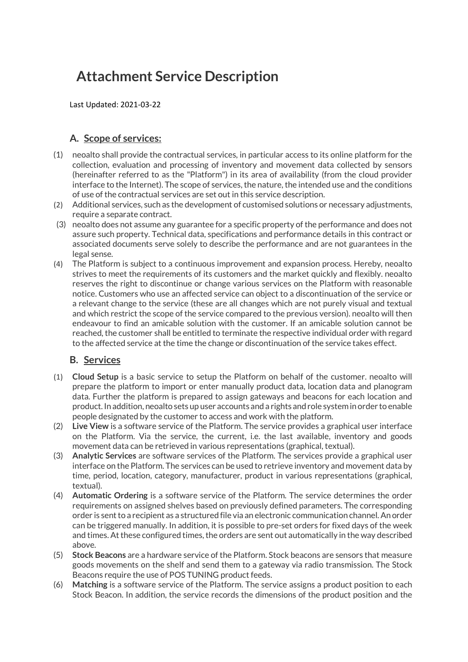# Attachment Service Description

Last Updated: 2021-03-22

### A. Scope of services:

- (1) neoalto shall provide the contractual services, in particular access to its online platform for the collection, evaluation and processing of inventory and movement data collected by sensors (hereinafter referred to as the "Platform") in its area of availability (from the cloud provider interface to the Internet). The scope of services, the nature, the intended use and the conditions of use of the contractual services are set out in this service description.
- (2) Additional services, such as the development of customised solutions or necessary adjustments, require a separate contract.
- (3) neoalto does not assume any guarantee for a specific property of the performance and does not assure such property. Technical data, specifications and performance details in this contract or associated documents serve solely to describe the performance and are not guarantees in the legal sense.
- (4) The Platform is subject to a continuous improvement and expansion process. Hereby, neoalto strives to meet the requirements of its customers and the market quickly and flexibly. neoalto reserves the right to discontinue or change various services on the Platform with reasonable notice. Customers who use an affected service can object to a discontinuation of the service or a relevant change to the service (these are all changes which are not purely visual and textual and which restrict the scope of the service compared to the previous version). neoalto will then endeavour to find an amicable solution with the customer. If an amicable solution cannot be reached, the customer shall be entitled to terminate the respective individual order with regard to the affected service at the time the change or discontinuation of the service takes effect.

#### B. Services

- (1) Cloud Setup is a basic service to setup the Platform on behalf of the customer. neoalto will prepare the platform to import or enter manually product data, location data and planogram data. Further the platform is prepared to assign gateways and beacons for each location and product. In addition, neoalto sets up user accounts and a rights and role system in order to enable people designated by the customer to access and work with the platform.
- (2) Live View is a software service of the Platform. The service provides a graphical user interface on the Platform. Via the service, the current, i.e. the last available, inventory and goods movement data can be retrieved in various representations (graphical, textual).
- (3) Analytic Services are software services of the Platform. The services provide a graphical user interface on the Platform. The services can be used to retrieve inventory and movement data by time, period, location, category, manufacturer, product in various representations (graphical, textual).
- (4) Automatic Ordering is a software service of the Platform. The service determines the order requirements on assigned shelves based on previously defined parameters. The corresponding order is sent to a recipient as a structured file via an electronic communication channel. An order can be triggered manually. In addition, it is possible to pre-set orders for fixed days of the week and times. At these configured times, the orders are sent out automatically in the way described above.
- (5) Stock Beacons are a hardware service of the Platform. Stock beacons are sensors that measure goods movements on the shelf and send them to a gateway via radio transmission. The Stock Beacons require the use of POS TUNING product feeds.
- (6) Matching is a software service of the Platform. The service assigns a product position to each Stock Beacon. In addition, the service records the dimensions of the product position and the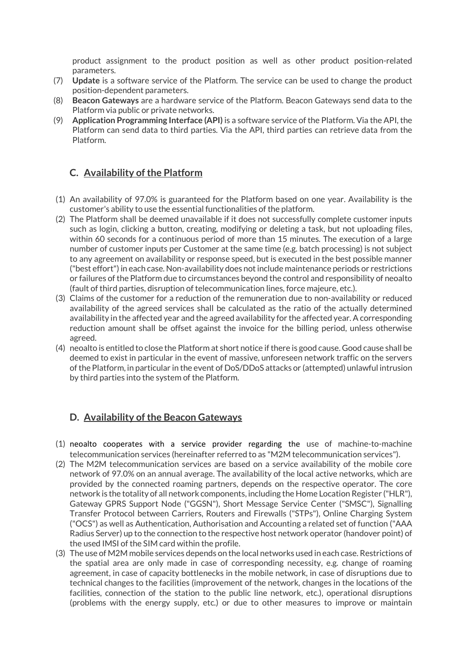product assignment to the product position as well as other product position-related parameters.

- (7) Update is a software service of the Platform. The service can be used to change the product position-dependent parameters.
- (8) Beacon Gateways are a hardware service of the Platform. Beacon Gateways send data to the Platform via public or private networks.
- (9) Application Programming Interface (API) is a software service of the Platform. Via the API, the Platform can send data to third parties. Via the API, third parties can retrieve data from the Platform.

## C. Availability of the Platform

- (1) An availability of 97.0% is guaranteed for the Platform based on one year. Availability is the customer's ability to use the essential functionalities of the platform.
- (2) The Platform shall be deemed unavailable if it does not successfully complete customer inputs such as login, clicking a button, creating, modifying or deleting a task, but not uploading files, within 60 seconds for a continuous period of more than 15 minutes. The execution of a large number of customer inputs per Customer at the same time (e.g. batch processing) is not subject to any agreement on availability or response speed, but is executed in the best possible manner ("best effort") in each case. Non-availability does not include maintenance periods or restrictions or failures of the Platform due to circumstances beyond the control and responsibility of neoalto (fault of third parties, disruption of telecommunication lines, force majeure, etc.).
- (3) Claims of the customer for a reduction of the remuneration due to non-availability or reduced availability of the agreed services shall be calculated as the ratio of the actually determined availability in the affected year and the agreed availability for the affected year. A corresponding reduction amount shall be offset against the invoice for the billing period, unless otherwise agreed.
- (4) neoalto is entitled to close the Platform at short notice if there is good cause. Good cause shall be deemed to exist in particular in the event of massive, unforeseen network traffic on the servers of the Platform, in particular in the event of DoS/DDoS attacks or (attempted) unlawful intrusion by third parties into the system of the Platform.

#### D. Availability of the Beacon Gateways

- (1) neoalto cooperates with a service provider regarding the use of machine-to-machine telecommunication services (hereinafter referred to as "M2M telecommunication services").
- (2) The M2M telecommunication services are based on a service availability of the mobile core network of 97.0% on an annual average. The availability of the local active networks, which are provided by the connected roaming partners, depends on the respective operator. The core network is the totality of all network components, including the Home Location Register ("HLR"), Gateway GPRS Support Node ("GGSN"), Short Message Service Center ("SMSC"), Signalling Transfer Protocol between Carriers, Routers and Firewalls ("STPs"), Online Charging System ("OCS") as well as Authentication, Authorisation and Accounting a related set of function ("AAA Radius Server) up to the connection to the respective host network operator (handover point) of the used IMSI of the SIM card within the profile.
- (3) The use of M2M mobile services depends on the local networks used in each case. Restrictions of the spatial area are only made in case of corresponding necessity, e.g. change of roaming agreement, in case of capacity bottlenecks in the mobile network, in case of disruptions due to technical changes to the facilities (improvement of the network, changes in the locations of the facilities, connection of the station to the public line network, etc.), operational disruptions (problems with the energy supply, etc.) or due to other measures to improve or maintain